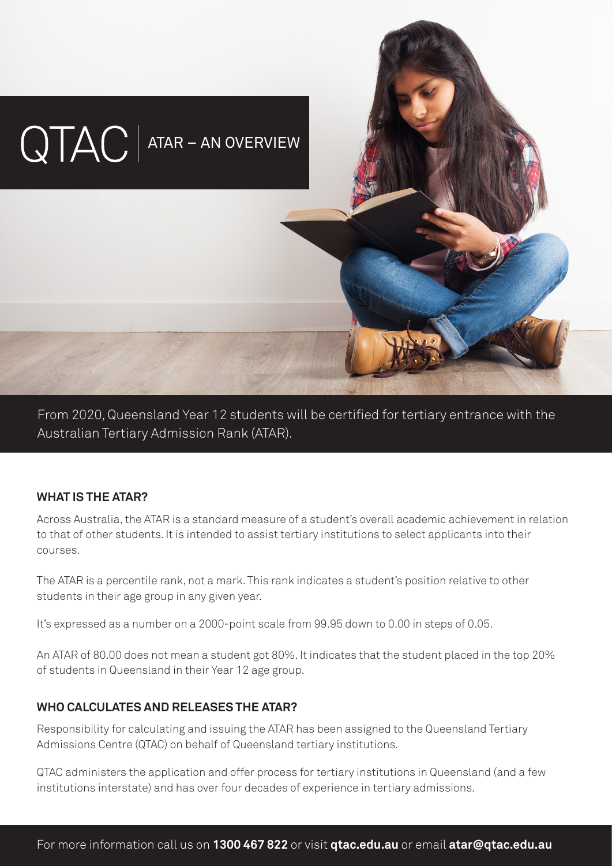

From 2020, Queensland Year 12 students will be certified for tertiary entrance with the Australian Tertiary Admission Rank (ATAR).

#### **WHAT IS THE ATAR?**

Across Australia, the ATAR is a standard measure of a student's overall academic achievement in relation to that of other students. It is intended to assist tertiary institutions to select applicants into their courses.

The ATAR is a percentile rank, not a mark. This rank indicates a student's position relative to other students in their age group in any given year.

It's expressed as a number on a 2000-point scale from 99.95 down to 0.00 in steps of 0.05.

An ATAR of 80.00 does not mean a student got 80%. It indicates that the student placed in the top 20% of students in Queensland in their Year 12 age group.

### **WHO CALCULATES AND RELEASES THE ATAR?**

Responsibility for calculating and issuing the ATAR has been assigned to the Queensland Tertiary Admissions Centre (QTAC) on behalf of Queensland tertiary institutions.

QTAC administers the application and offer process for tertiary institutions in Queensland (and a few institutions interstate) and has over four decades of experience in tertiary admissions.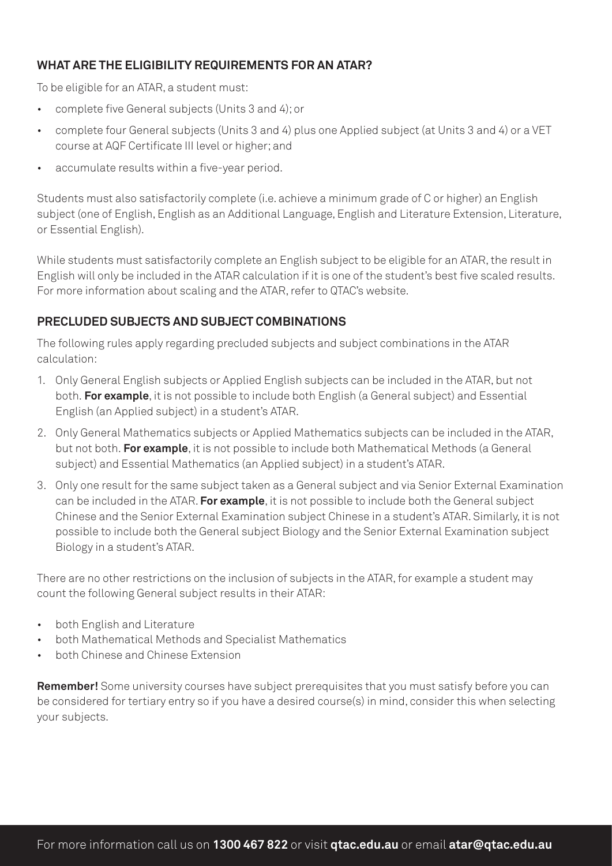## **WHAT ARE THE ELIGIBILITY REQUIREMENTS FOR AN ATAR?**

To be eligible for an ATAR, a student must:

- complete five General subjects (Units 3 and 4); or
- complete four General subjects (Units 3 and 4) plus one Applied subject (at Units 3 and 4) or a VET course at AQF Certificate III level or higher; and
- accumulate results within a five-year period.

Students must also satisfactorily complete (i.e. achieve a minimum grade of C or higher) an English subject (one of English, English as an Additional Language, English and Literature Extension, Literature, or Essential English).

While students must satisfactorily complete an English subject to be eligible for an ATAR, the result in English will only be included in the ATAR calculation if it is one of the student's best five scaled results. For more information about scaling and the ATAR, refer to QTAC's website.

## **PRECLUDED SUBJECTS AND SUBJECT COMBINATIONS**

The following rules apply regarding precluded subjects and subject combinations in the ATAR calculation:

- 1. Only General English subjects or Applied English subjects can be included in the ATAR, but not both. **For example**, it is not possible to include both English (a General subject) and Essential English (an Applied subject) in a student's ATAR.
- 2. Only General Mathematics subjects or Applied Mathematics subjects can be included in the ATAR, but not both. **For example**, it is not possible to include both Mathematical Methods (a General subject) and Essential Mathematics (an Applied subject) in a student's ATAR.
- 3. Only one result for the same subject taken as a General subject and via Senior External Examination can be included in the ATAR. **For example**, it is not possible to include both the General subject Chinese and the Senior External Examination subject Chinese in a student's ATAR. Similarly, it is not possible to include both the General subject Biology and the Senior External Examination subject Biology in a student's ATAR.

There are no other restrictions on the inclusion of subjects in the ATAR, for example a student may count the following General subject results in their ATAR:

- both English and Literature
- both Mathematical Methods and Specialist Mathematics
- both Chinese and Chinese Extension

**Remember!** Some university courses have subject prerequisites that you must satisfy before you can be considered for tertiary entry so if you have a desired course(s) in mind, consider this when selecting your subjects.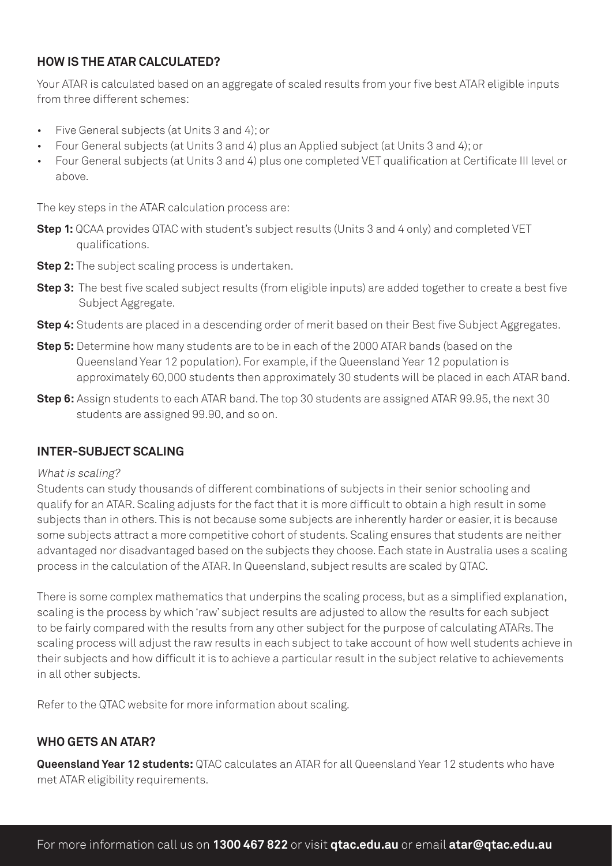### **HOW IS THE ATAR CALCULATED?**

Your ATAR is calculated based on an aggregate of scaled results from your five best ATAR eligible inputs from three different schemes:

- Five General subjects (at Units 3 and 4); or
- Four General subjects (at Units 3 and 4) plus an Applied subject (at Units 3 and 4); or
- Four General subjects (at Units 3 and 4) plus one completed VET qualification at Certificate III level or above.

The key steps in the ATAR calculation process are:

- **Step 1:** QCAA provides QTAC with student's subject results (Units 3 and 4 only) and completed VET qualifications.
- **Step 2:** The subject scaling process is undertaken.
- **Step 3:** The best five scaled subject results (from eligible inputs) are added together to create a best five Subject Aggregate.
- **Step 4:** Students are placed in a descending order of merit based on their Best five Subject Aggregates.
- **Step 5:** Determine how many students are to be in each of the 2000 ATAR bands (based on the Queensland Year 12 population). For example, if the Queensland Year 12 population is approximately 60,000 students then approximately 30 students will be placed in each ATAR band.
- **Step 6:** Assign students to each ATAR band. The top 30 students are assigned ATAR 99.95, the next 30 students are assigned 99.90, and so on.

#### **INTER-SUBJECT SCALING**

#### What is scaling?

Students can study thousands of different combinations of subjects in their senior schooling and qualify for an ATAR. Scaling adjusts for the fact that it is more difficult to obtain a high result in some subjects than in others. This is not because some subjects are inherently harder or easier, it is because some subjects attract a more competitive cohort of students. Scaling ensures that students are neither advantaged nor disadvantaged based on the subjects they choose. Each state in Australia uses a scaling process in the calculation of the ATAR. In Queensland, subject results are scaled by QTAC.

There is some complex mathematics that underpins the scaling process, but as a simplified explanation, scaling is the process by which 'raw' subject results are adjusted to allow the results for each subject to be fairly compared with the results from any other subject for the purpose of calculating ATARs. The scaling process will adjust the raw results in each subject to take account of how well students achieve in their subjects and how difficult it is to achieve a particular result in the subject relative to achievements in all other subjects.

Refer to the QTAC website for more information about scaling.

#### **WHO GETS AN ATAR?**

**Queensland Year 12 students:** QTAC calculates an ATAR for all Queensland Year 12 students who have met ATAR eligibility requirements.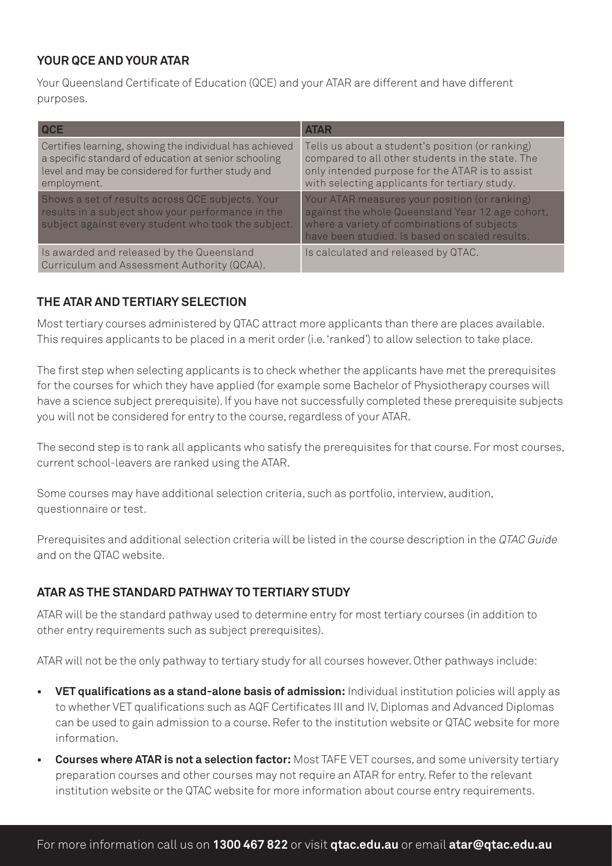### **YOUR QCE AND YOUR ATAR**

Your Queensland Certificate of Education (QCE) and your ATAR are different and have different purposes.

| <b>QCE</b>                                                                                                                                                                          | <b>ATAR</b>                                                                                                                                                                                              |
|-------------------------------------------------------------------------------------------------------------------------------------------------------------------------------------|----------------------------------------------------------------------------------------------------------------------------------------------------------------------------------------------------------|
| Certifies learning, showing the individual has achieved<br>a specific standard of education at senior schooling<br>level and may be considered for further study and<br>employment. | Tells us about a student's position (or ranking)<br>compared to all other students in the state. The<br>only intended purpose for the ATAR is to assist<br>with selecting applicants for tertiary study. |
| Shows a set of results across QCE subjects. Your<br>results in a subject show your performance in the<br>subject against every student who took the subject.                        | Your ATAR measures your position (or ranking)<br>against the whole Queensland Year 12 age cohort,<br>where a variety of combinations of subjects<br>have been studied. Is based on scaled results.       |
| Is awarded and released by the Queensland<br>Curriculum and Assessment Authority (QCAA).                                                                                            | Is calculated and released by QTAC.                                                                                                                                                                      |

### **THE ATAR AND TERTIARY SELECTION**

Most tertiary courses administered by QTAC attract more applicants than there are places available. This requires applicants to be placed in a merit order (i.e. 'ranked') to allow selection to take place.

The first step when selecting applicants is to check whether the applicants have met the prerequisites for the courses for which they have applied (for example some Bachelor of Physiotherapy courses will have a science subject prerequisite). If you have not successfully completed these prerequisite subjects you will not be considered for entry to the course, regardless of your ATAR.

The second step is to rank all applicants who satisfy the prerequisites for that course. For most courses, current school-leavers are ranked using the ATAR.

Some courses may have additional selection criteria, such as portfolio, interview, audition, questionnaire or test.

Prerequisites and additional selection criteria will be listed in the course description in the QTAC Guide and on the QTAC website.

# **ATAR AS THE STANDARD PATHWAY TO TERTIARY STUDY**

ATAR will be the standard pathway used to determine entry for most tertiary courses (in addition to other entry requirements such as subject prerequisites).

ATAR will not be the only pathway to tertiary study for all courses however. Other pathways include:

- **• VET qualifications as a stand-alone basis of admission:** Individual institution policies will apply as to whether VET qualifications such as AQF Certificates III and IV, Diplomas and Advanced Diplomas can be used to gain admission to a course. Refer to the institution website or QTAC website for more information.
- **• Courses where ATAR is not a selection factor:** Most TAFE VET courses, and some university tertiary preparation courses and other courses may not require an ATAR for entry. Refer to the relevant institution website or the QTAC website for more information about course entry requirements.